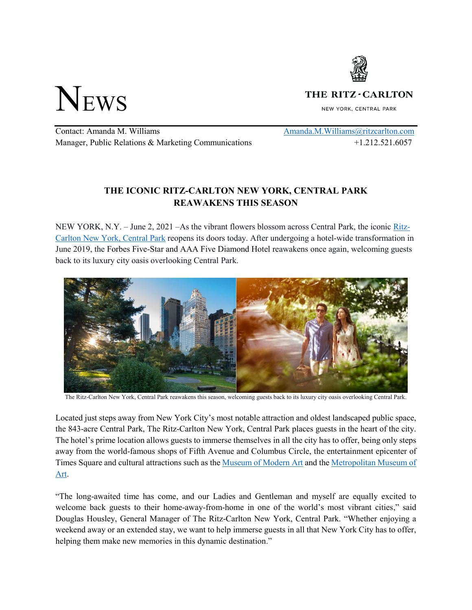

**NEWS** 

THE RITZ-CARLTON

NEW YORK, CENTRAL PARK

Contact: Amanda M. Williams Amanda.M. Williams Amanda.M. Williams Aritzcarlton.com Manager, Public Relations & Marketing Communications  $+1.212.521.6057$ 

## **THE ICONIC RITZ-CARLTON NEW YORK, CENTRAL PARK REAWAKENS THIS SEASON**

NEW YORK, N.Y. – June 2, 2021 –As the vibrant flowers blossom across Central Park, the iconic Ritz-[Carlton New York, Central Park reopens its doors today. After undergoing a hotel-wide transformation in](https://www.ritzcarlton.com/en/hotels/new-york/central-park)  June 2019, the Forbes Five-Star and AAA Five Diamond Hotel reawakens once again, welcoming guests back to its luxury city oasis overlooking Central Park.



The Ritz-Carlton New York, Central Park reawakens this season, welcoming guests back to its luxury city oasis overlooking Central Park.

Located just steps away from New York City's most notable attraction and oldest landscaped public space, the 843-acre Central Park, The Ritz-Carlton New York, Central Park places guests in the heart of the city. The hotel's prime location allows guests to immerse themselves in all the city has to offer, being only steps away from the world-famous shops of Fifth Avenue and Columbus Circle, the entertainment epicenter of Times Square and cultural attractions such as th[e Museum of Modern Art](https://www.moma.org/) and th[e Metropolitan Museum of](https://www.metmuseum.org/)  [Art.](https://www.metmuseum.org/)

"The long-awaited time has come, and our Ladies and Gentleman and myself are equally excited to welcome back guests to their home-away-from-home in one of the world's most vibrant cities," said Douglas Housley, General Manager of The Ritz-Carlton New York, Central Park. "Whether enjoying a weekend away or an extended stay, we want to help immerse guests in all that New York City has to offer, helping them make new memories in this dynamic destination."